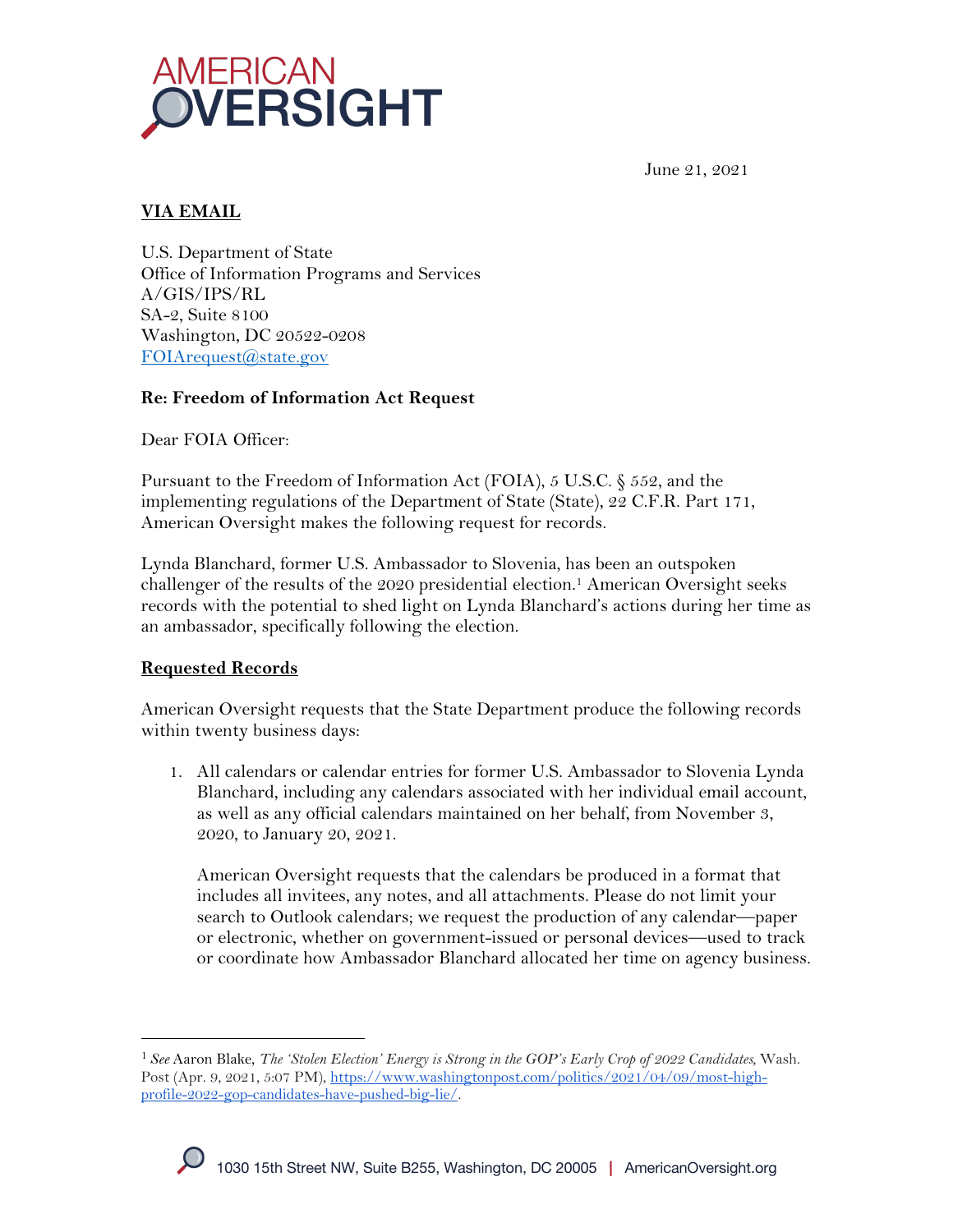

June 21, 2021

# **VIA EMAIL**

U.S. Department of State Office of Information Programs and Services A/GIS/IPS/RL SA-2, Suite 8100 Washington, DC 20522-0208 FOIArequest@state.gov

## **Re: Freedom of Information Act Request**

Dear FOIA Officer:

Pursuant to the Freedom of Information Act (FOIA), 5 U.S.C. § 552, and the implementing regulations of the Department of State (State), 22 C.F.R. Part 171, American Oversight makes the following request for records.

Lynda Blanchard, former U.S. Ambassador to Slovenia, has been an outspoken challenger of the results of the 2020 presidential election.1 American Oversight seeks records with the potential to shed light on Lynda Blanchard's actions during her time as an ambassador, specifically following the election.

## **Requested Records**

American Oversight requests that the State Department produce the following records within twenty business days:

1. All calendars or calendar entries for former U.S. Ambassador to Slovenia Lynda Blanchard, including any calendars associated with her individual email account, as well as any official calendars maintained on her behalf, from November 3, 2020, to January 20, 2021.

American Oversight requests that the calendars be produced in a format that includes all invitees, any notes, and all attachments. Please do not limit your search to Outlook calendars; we request the production of any calendar—paper or electronic, whether on government-issued or personal devices—used to track or coordinate how Ambassador Blanchard allocated her time on agency business.

<sup>1</sup> *See* Aaron Blake, *The 'Stolen Election' Energy is Strong in the GOP's Early Crop of 2022 Candidates,* Wash. Post (Apr. 9, 2021, 5:07 PM), https://www.washingtonpost.com/politics/2021/04/09/most-highprofile-2022-gop-candidates-have-pushed-big-lie/.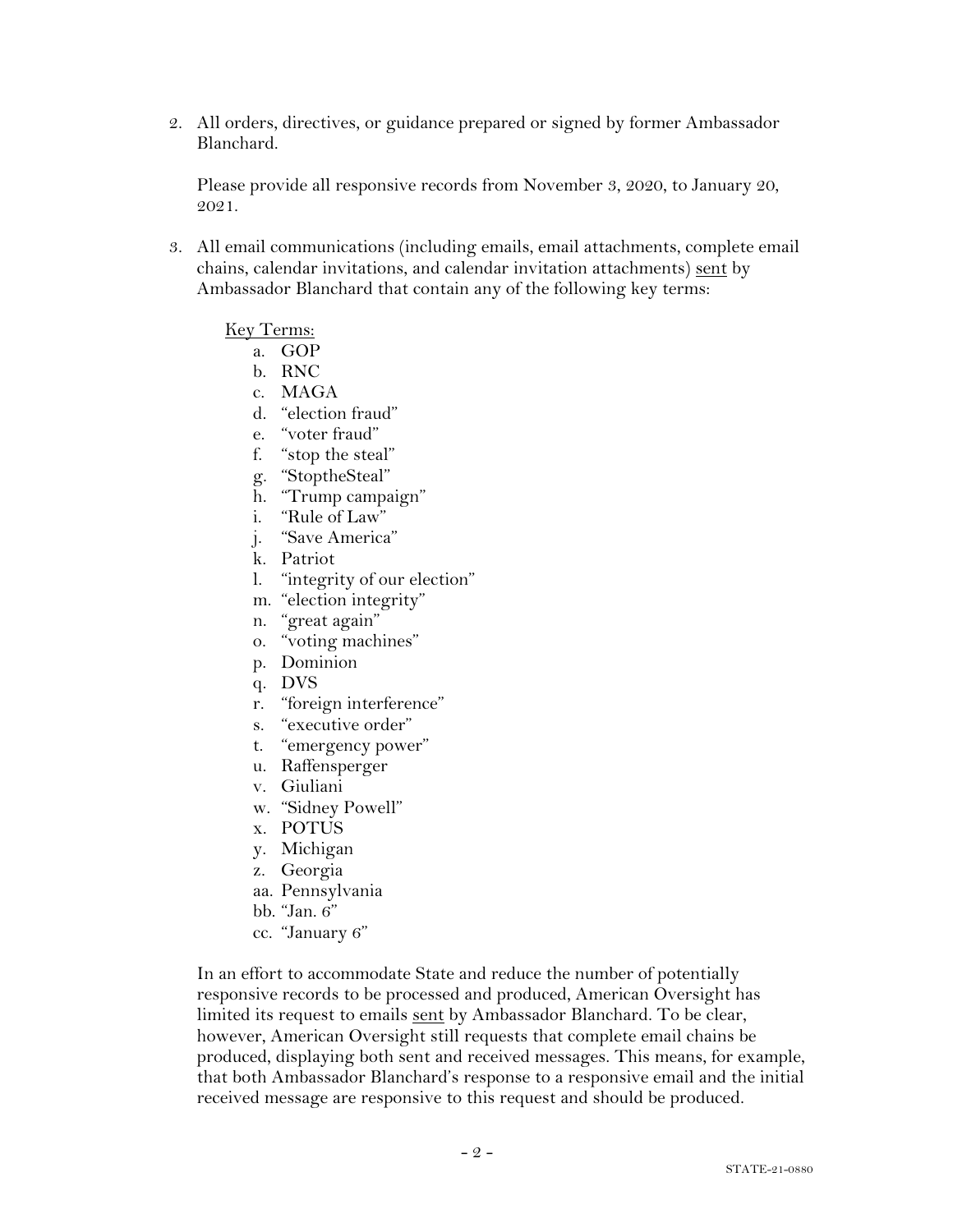2. All orders, directives, or guidance prepared or signed by former Ambassador Blanchard.

Please provide all responsive records from November 3, 2020, to January 20, 2021.

3. All email communications (including emails, email attachments, complete email chains, calendar invitations, and calendar invitation attachments) sent by Ambassador Blanchard that contain any of the following key terms:

#### Key Terms:

- a. GOP
- b. RNC
- c. MAGA
- d. "election fraud"
- e. "voter fraud"
- f. "stop the steal"
- g. "StoptheSteal"
- h. "Trump campaign"
- i. "Rule of Law"
- j. "Save America"
- k. Patriot
- l. "integrity of our election"
- m. "election integrity"
- n. "great again"
- o. "voting machines"
- p. Dominion
- q. DVS
- r. "foreign interference"
- s. "executive order"
- t. "emergency power"
- u. Raffensperger
- v. Giuliani
- w. "Sidney Powell"
- x. POTUS
- y. Michigan
- z. Georgia
- aa. Pennsylvania
- bb. "Jan. 6"
- cc. "January 6"

In an effort to accommodate State and reduce the number of potentially responsive records to be processed and produced, American Oversight has limited its request to emails sent by Ambassador Blanchard. To be clear, however, American Oversight still requests that complete email chains be produced, displaying both sent and received messages. This means, for example, that both Ambassador Blanchard's response to a responsive email and the initial received message are responsive to this request and should be produced.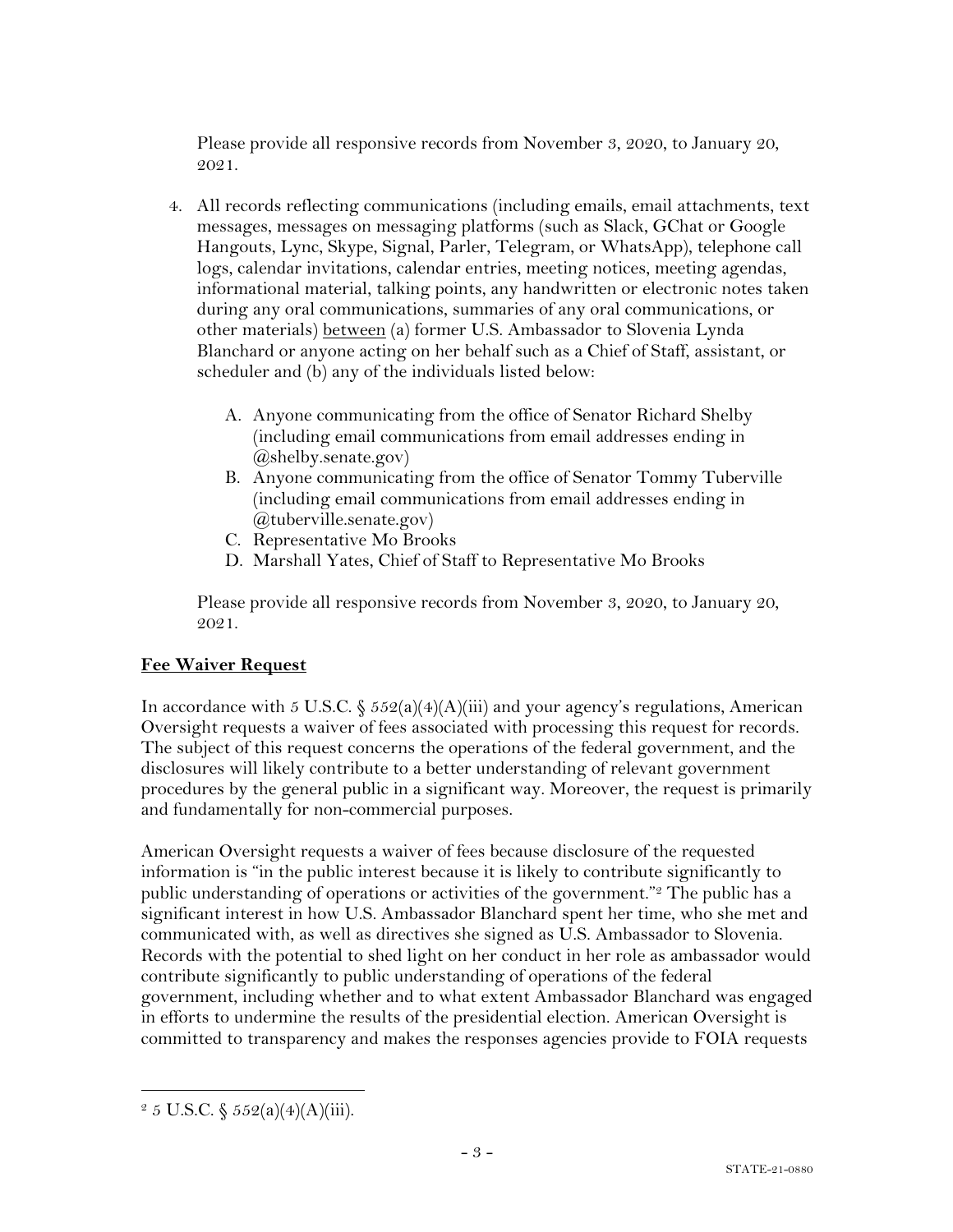Please provide all responsive records from November 3, 2020, to January 20, 2021.

- 4. All records reflecting communications (including emails, email attachments, text messages, messages on messaging platforms (such as Slack, GChat or Google Hangouts, Lync, Skype, Signal, Parler, Telegram, or WhatsApp), telephone call logs, calendar invitations, calendar entries, meeting notices, meeting agendas, informational material, talking points, any handwritten or electronic notes taken during any oral communications, summaries of any oral communications, or other materials) between (a) former U.S. Ambassador to Slovenia Lynda Blanchard or anyone acting on her behalf such as a Chief of Staff, assistant, or scheduler and (b) any of the individuals listed below:
	- A. Anyone communicating from the office of Senator Richard Shelby (including email communications from email addresses ending in @shelby.senate.gov)
	- B. Anyone communicating from the office of Senator Tommy Tuberville (including email communications from email addresses ending in @tuberville.senate.gov)
	- C. Representative Mo Brooks
	- D. Marshall Yates, Chief of Staff to Representative Mo Brooks

Please provide all responsive records from November 3, 2020, to January 20, 2021.

## **Fee Waiver Request**

In accordance with 5 U.S.C.  $\frac{6}{5}$  552(a)(4)(A)(iii) and your agency's regulations, American Oversight requests a waiver of fees associated with processing this request for records. The subject of this request concerns the operations of the federal government, and the disclosures will likely contribute to a better understanding of relevant government procedures by the general public in a significant way. Moreover, the request is primarily and fundamentally for non-commercial purposes.

American Oversight requests a waiver of fees because disclosure of the requested information is "in the public interest because it is likely to contribute significantly to public understanding of operations or activities of the government."2 The public has a significant interest in how U.S. Ambassador Blanchard spent her time, who she met and communicated with, as well as directives she signed as U.S. Ambassador to Slovenia. Records with the potential to shed light on her conduct in her role as ambassador would contribute significantly to public understanding of operations of the federal government, including whether and to what extent Ambassador Blanchard was engaged in efforts to undermine the results of the presidential election. American Oversight is committed to transparency and makes the responses agencies provide to FOIA requests

 $2 \, 5 \, \text{U.S.C.} \, \S \, 552(a)(4)(\text{A})(\text{iii}).$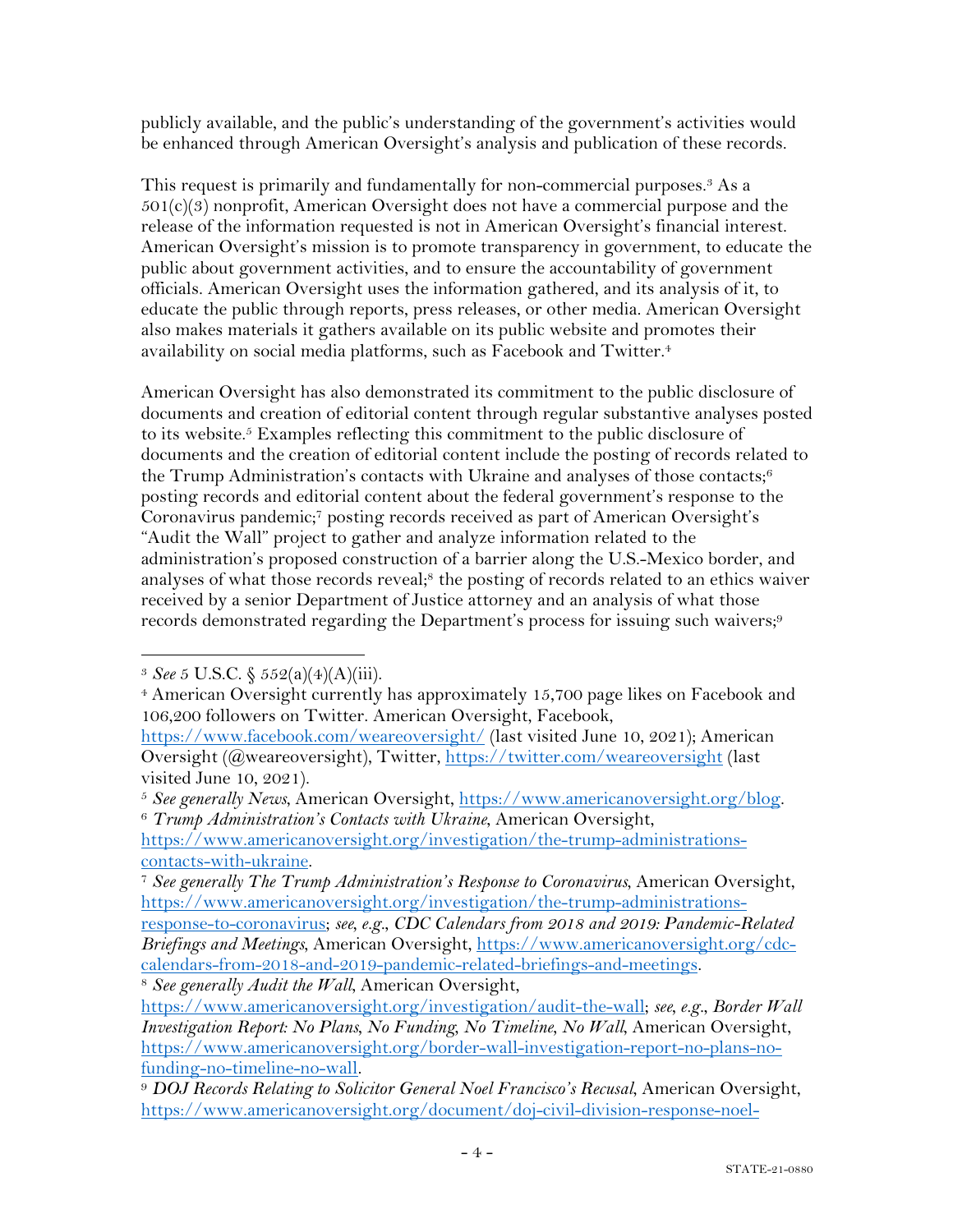publicly available, and the public's understanding of the government's activities would be enhanced through American Oversight's analysis and publication of these records.

This request is primarily and fundamentally for non-commercial purposes.<sup>3</sup> As a  $501(c)(3)$  nonprofit, American Oversight does not have a commercial purpose and the release of the information requested is not in American Oversight's financial interest. American Oversight's mission is to promote transparency in government, to educate the public about government activities, and to ensure the accountability of government officials. American Oversight uses the information gathered, and its analysis of it, to educate the public through reports, press releases, or other media. American Oversight also makes materials it gathers available on its public website and promotes their availability on social media platforms, such as Facebook and Twitter.4

American Oversight has also demonstrated its commitment to the public disclosure of documents and creation of editorial content through regular substantive analyses posted to its website.5 Examples reflecting this commitment to the public disclosure of documents and the creation of editorial content include the posting of records related to the Trump Administration's contacts with Ukraine and analyses of those contacts; $6$ posting records and editorial content about the federal government's response to the Coronavirus pandemic;7 posting records received as part of American Oversight's "Audit the Wall" project to gather and analyze information related to the administration's proposed construction of a barrier along the U.S.-Mexico border, and analyses of what those records reveal;<sup>8</sup> the posting of records related to an ethics waiver received by a senior Department of Justice attorney and an analysis of what those records demonstrated regarding the Department's process for issuing such waivers;<sup>9</sup>

<sup>8</sup> *See generally Audit the Wall*, American Oversight,

<sup>3</sup> *See* 5 U.S.C. § 552(a)(4)(A)(iii).

<sup>4</sup> American Oversight currently has approximately 15,700 page likes on Facebook and 106,200 followers on Twitter. American Oversight, Facebook,

https://www.facebook.com/weareoversight/ (last visited June 10, 2021); American Oversight (@weareoversight), Twitter, https://twitter.com/weareoversight (last visited June 10, 2021).

<sup>5</sup> *See generally News*, American Oversight, https://www.americanoversight.org/blog. <sup>6</sup> *Trump Administration's Contacts with Ukraine*, American Oversight,

https://www.americanoversight.org/investigation/the-trump-administrationscontacts-with-ukraine.

<sup>7</sup> *See generally The Trump Administration's Response to Coronavirus*, American Oversight, https://www.americanoversight.org/investigation/the-trump-administrations-

response-to-coronavirus; *see, e.g.*, *CDC Calendars from 2018 and 2019: Pandemic-Related Briefings and Meetings*, American Oversight, https://www.americanoversight.org/cdccalendars-from-2018-and-2019-pandemic-related-briefings-and-meetings.

https://www.americanoversight.org/investigation/audit-the-wall; *see, e.g.*, *Border Wall Investigation Report: No Plans, No Funding, No Timeline, No Wall, American Oversight,* https://www.americanoversight.org/border-wall-investigation-report-no-plans-nofunding-no-timeline-no-wall. 9 *DOJ Records Relating to Solicitor General Noel Francisco's Recusal*, American Oversight,

https://www.americanoversight.org/document/doj-civil-division-response-noel-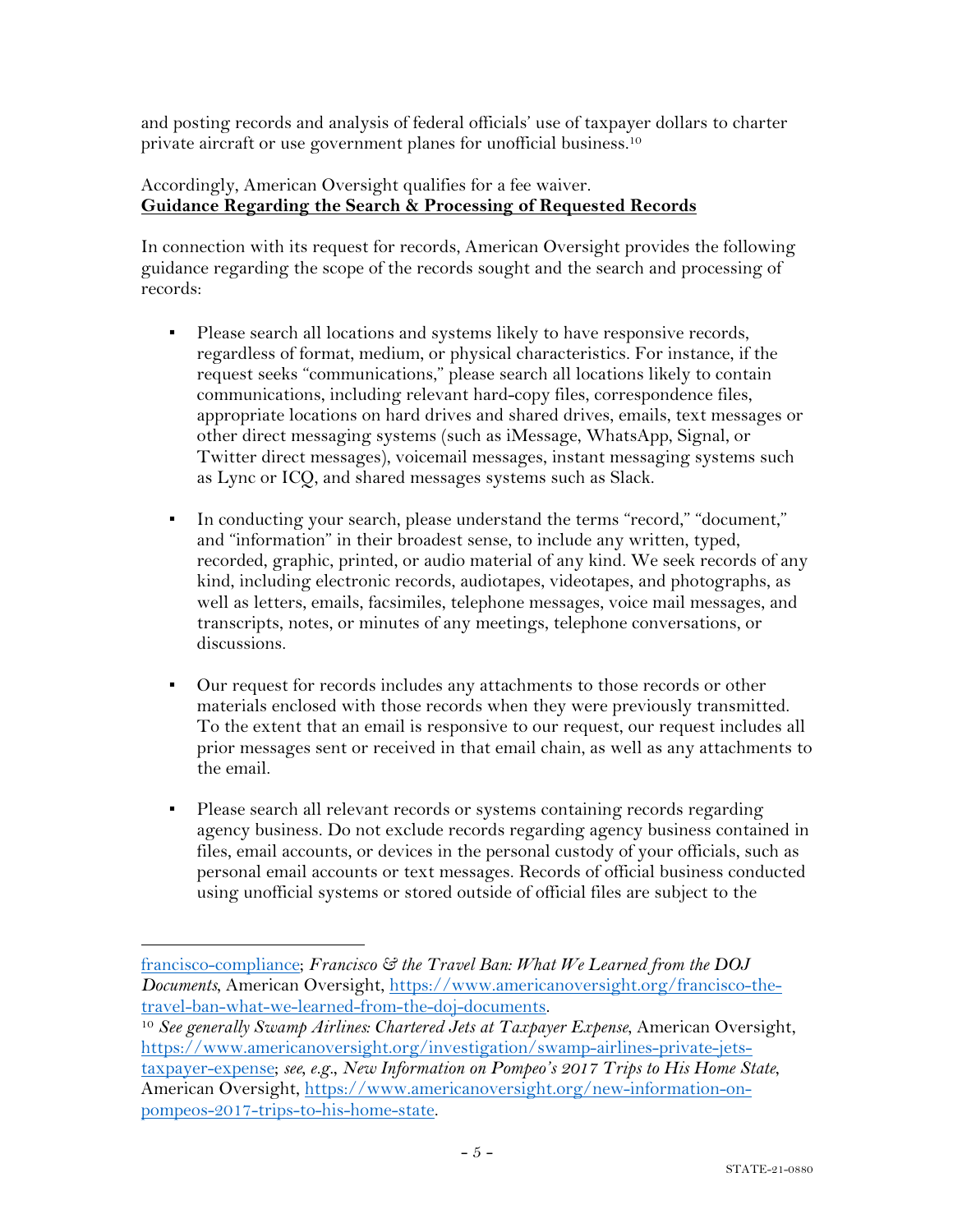and posting records and analysis of federal officials' use of taxpayer dollars to charter private aircraft or use government planes for unofficial business.10

### Accordingly, American Oversight qualifies for a fee waiver. **Guidance Regarding the Search & Processing of Requested Records**

In connection with its request for records, American Oversight provides the following guidance regarding the scope of the records sought and the search and processing of records:

- Please search all locations and systems likely to have responsive records, regardless of format, medium, or physical characteristics. For instance, if the request seeks "communications," please search all locations likely to contain communications, including relevant hard-copy files, correspondence files, appropriate locations on hard drives and shared drives, emails, text messages or other direct messaging systems (such as iMessage, WhatsApp, Signal, or Twitter direct messages), voicemail messages, instant messaging systems such as Lync or ICQ, and shared messages systems such as Slack.
- In conducting your search, please understand the terms "record," "document," and "information" in their broadest sense, to include any written, typed, recorded, graphic, printed, or audio material of any kind. We seek records of any kind, including electronic records, audiotapes, videotapes, and photographs, as well as letters, emails, facsimiles, telephone messages, voice mail messages, and transcripts, notes, or minutes of any meetings, telephone conversations, or discussions.
- Our request for records includes any attachments to those records or other materials enclosed with those records when they were previously transmitted. To the extent that an email is responsive to our request, our request includes all prior messages sent or received in that email chain, as well as any attachments to the email.
- Please search all relevant records or systems containing records regarding agency business. Do not exclude records regarding agency business contained in files, email accounts, or devices in the personal custody of your officials, such as personal email accounts or text messages. Records of official business conducted using unofficial systems or stored outside of official files are subject to the

<sup>10</sup> See generally Swamp Airlines: Chartered Jets at Taxpayer Expense, American Oversight, https://www.americanoversight.org/investigation/swamp-airlines-private-jetstaxpayer-expense; *see, e.g.*, *New Information on Pompeo's 2017 Trips to His Home State*, American Oversight, https://www.americanoversight.org/new-information-onpompeos-2017-trips-to-his-home-state.

francisco-compliance; *Francisco & the Travel Ban: What We Learned from the DOJ Documents*, American Oversight, https://www.americanoversight.org/francisco-thetravel-ban-what-we-learned-from-the-doj-documents.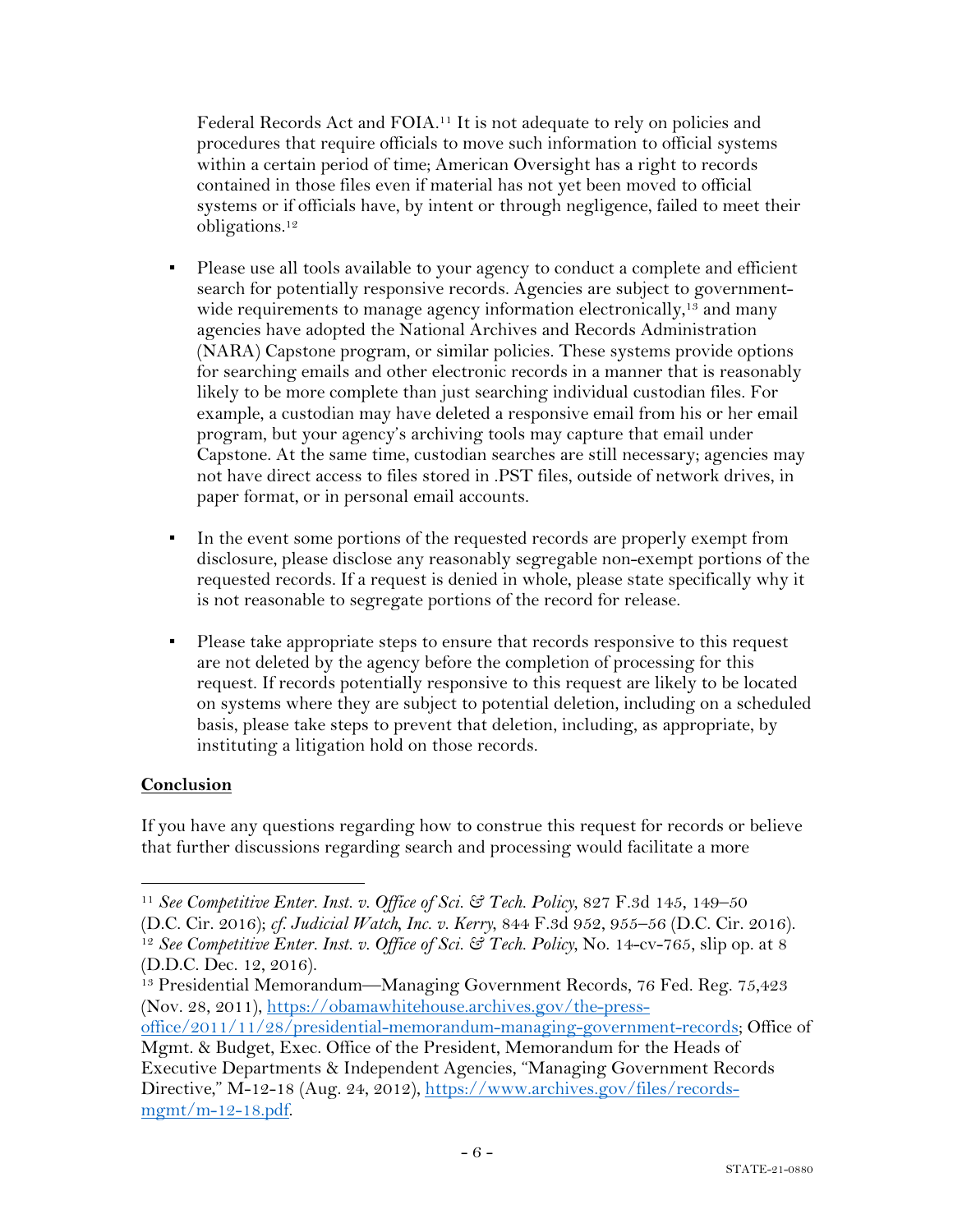Federal Records Act and FOIA.11 It is not adequate to rely on policies and procedures that require officials to move such information to official systems within a certain period of time; American Oversight has a right to records contained in those files even if material has not yet been moved to official systems or if officials have, by intent or through negligence, failed to meet their obligations.12

- Please use all tools available to your agency to conduct a complete and efficient search for potentially responsive records. Agencies are subject to governmentwide requirements to manage agency information electronically,<sup>13</sup> and many agencies have adopted the National Archives and Records Administration (NARA) Capstone program, or similar policies. These systems provide options for searching emails and other electronic records in a manner that is reasonably likely to be more complete than just searching individual custodian files. For example, a custodian may have deleted a responsive email from his or her email program, but your agency's archiving tools may capture that email under Capstone. At the same time, custodian searches are still necessary; agencies may not have direct access to files stored in .PST files, outside of network drives, in paper format, or in personal email accounts.
- In the event some portions of the requested records are properly exempt from disclosure, please disclose any reasonably segregable non-exempt portions of the requested records. If a request is denied in whole, please state specifically why it is not reasonable to segregate portions of the record for release.
- Please take appropriate steps to ensure that records responsive to this request are not deleted by the agency before the completion of processing for this request. If records potentially responsive to this request are likely to be located on systems where they are subject to potential deletion, including on a scheduled basis, please take steps to prevent that deletion, including, as appropriate, by instituting a litigation hold on those records.

## **Conclusion**

If you have any questions regarding how to construe this request for records or believe that further discussions regarding search and processing would facilitate a more

<sup>11</sup> *See Competitive Enter. Inst. v. Office of Sci. & Tech. Policy*, 827 F.3d 145, 149–50

<sup>(</sup>D.C. Cir. 2016); *cf. Judicial Watch, Inc. v. Kerry*, 844 F.3d 952, 955–56 (D.C. Cir. 2016). 12 *See Competitive Enter. Inst. v. Office of Sci. & Tech. Policy*, No. 14-cv-765, slip op. at 8 (D.D.C. Dec. 12, 2016).

<sup>13</sup> Presidential Memorandum—Managing Government Records, 76 Fed. Reg. 75,423 (Nov. 28, 2011), https://obamawhitehouse.archives.gov/the-press-

office/2011/11/28/presidential-memorandum-managing-government-records; Office of Mgmt. & Budget, Exec. Office of the President, Memorandum for the Heads of

Executive Departments & Independent Agencies, "Managing Government Records Directive," M-12-18 (Aug. 24, 2012), https://www.archives.gov/files/recordsmgmt/m-12-18.pdf.